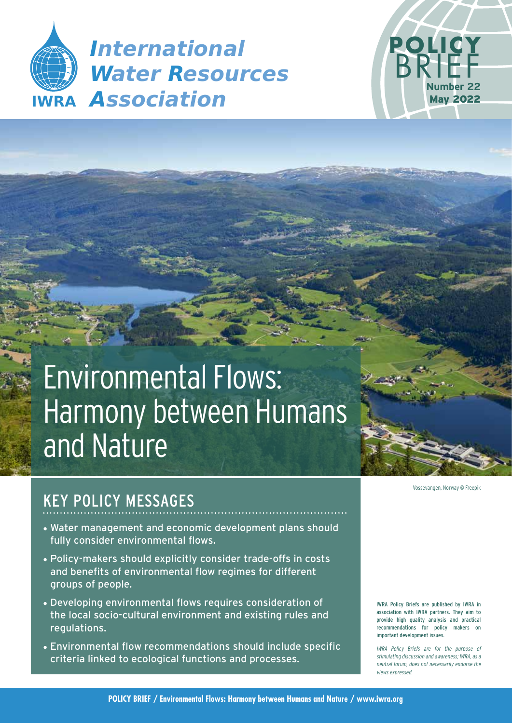



# Environmental Flows: Harmony between Humans and Nature

# KEY POLICY MESSAGES

- Water management and economic development plans should fully consider environmental flows.
- Policy-makers should explicitly consider trade-offs in costs and benefits of environmental flow regimes for different groups of people.
- Developing environmental flows requires consideration of the local socio-cultural environment and existing rules and regulations.
- Environmental flow recommendations should include specific criteria linked to ecological functions and processes.

Vossevangen, Norway © Freepik

IWRA Policy Briefs are published by IWRA in association with IWRA partners. They aim to provide high quality analysis and practical recommendations for policy makers on important development issues.

IWRA Policy Briefs are for the purpose of stimulating discussion and awareness; IWRA, as a neutral forum, does not necessarily endorse the views expressed.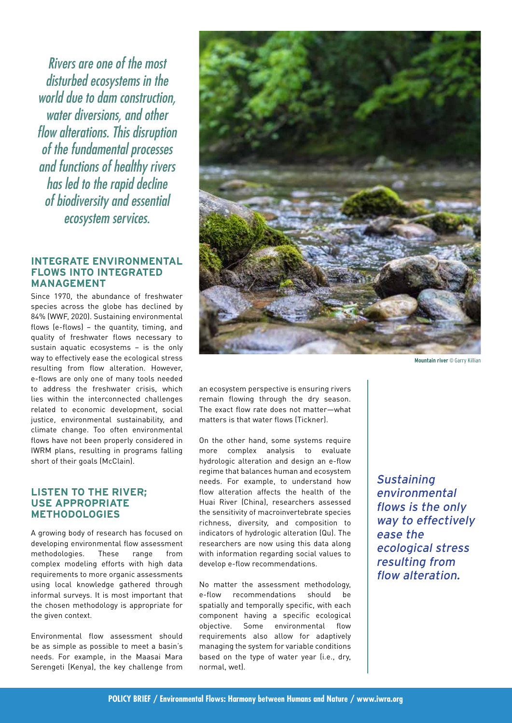Rivers are one of the most disturbed ecosystems in the world due to dam construction, water diversions, and other flow alterations. This disruption of the fundamental processes and functions of healthy rivers has led to the rapid decline of biodiversity and essential ecosystem services.

#### **INTEGRATE ENVIRONMENTAL FLOWS INTO INTEGRATED MANAGEMENT**

Since 1970, the abundance of freshwater species across the globe has declined by 84% (WWF, 2020). Sustaining environmental flows (e-flows) – the quantity, timing, and quality of freshwater flows necessary to sustain aquatic ecosystems – is the only way to effectively ease the ecological stress resulting from flow alteration. However, e-flows are only one of many tools needed to address the freshwater crisis, which lies within the interconnected challenges related to economic development, social justice, environmental sustainability, and climate change. Too often environmental flows have not been properly considered in IWRM plans, resulting in programs falling short of their goals (McClain).

#### **LISTEN TO THE RIVER; USE APPROPRIATE METHODOLOGIES**

A growing body of research has focused on developing environmental flow assessment methodologies. These range from complex modeling efforts with high data requirements to more organic assessments using local knowledge gathered through informal surveys. It is most important that the chosen methodology is appropriate for the given context.

Environmental flow assessment should be as simple as possible to meet a basin's needs. For example, in the Maasai Mara Serengeti (Kenya), the key challenge from



**Mountain river** © Garry Killian

an ecosystem perspective is ensuring rivers remain flowing through the dry season. The exact flow rate does not matter—what matters is that water flows (Tickner).

On the other hand, some systems require more complex analysis to evaluate hydrologic alteration and design an e-flow regime that balances human and ecosystem needs. For example, to understand how flow alteration affects the health of the Huai River (China), researchers assessed the sensitivity of macroinvertebrate species richness, diversity, and composition to indicators of hydrologic alteration (Qu). The researchers are now using this data along with information regarding social values to develop e-flow recommendations.

No matter the assessment methodology, e-flow recommendations should be spatially and temporally specific, with each component having a specific ecological objective. Some environmental flow requirements also allow for adaptively managing the system for variable conditions based on the type of water year (i.e., dry, normal, wet).

**Sustaining** environmental flows is the only way to effectively ease the ecological stress resulting from flow alteration.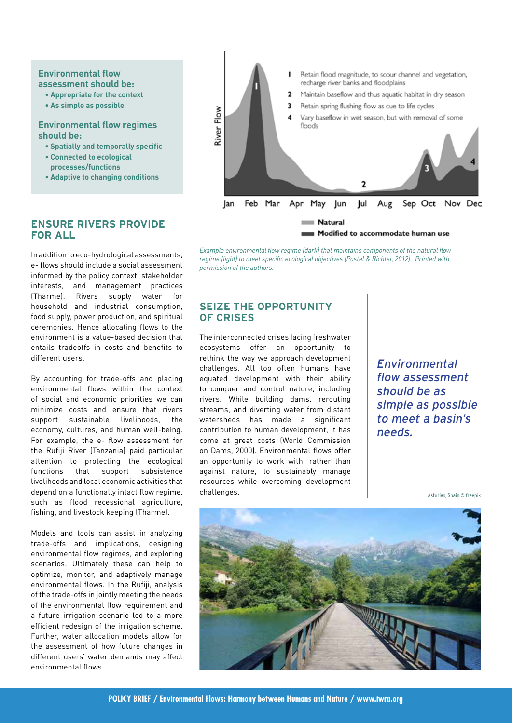#### **Environmental flow assessment should be:**

- **Appropriate for the context**
- **As simple as possible**

#### **Environmental flow regimes should be:**

- **Spatially and temporally specific**
- **Connected to ecological processes/functions**
- **Adaptive to changing conditions**



*Example environmental flow regime (dark) that maintains components of the natural flow regime (light) to meet specific ecological objectives (Postel & Richter, 2012). Printed with permission of the authors.*

# **SEIZE THE OPPORTUNITY OF CRISES**

The interconnected crises facing freshwater ecosystems offer an opportunity to rethink the way we approach development challenges. All too often humans have equated development with their ability to conquer and control nature, including rivers. While building dams, rerouting streams, and diverting water from distant watersheds has made a significant contribution to human development, it has come at great costs (World Commission on Dams, 2000). Environmental flows offer an opportunity to work with, rather than against nature, to sustainably manage resources while overcoming development challenges.

Environmental flow assessment should be as simple as possible to meet a basin's needs.

Asturias, Spain © freepik



#### **ENSURE RIVERS PROVIDE FOR ALL**

In addition to eco-hydrological assessments, e- flows should include a social assessment informed by the policy context, stakeholder interests, and management practices (Tharme). Rivers supply water for household and industrial consumption, food supply, power production, and spiritual ceremonies. Hence allocating flows to the environment is a value-based decision that entails tradeoffs in costs and benefits to different users.

By accounting for trade-offs and placing environmental flows within the context of social and economic priorities we can minimize costs and ensure that rivers support sustainable livelihoods, the economy, cultures, and human well-being. For example, the e- flow assessment for the Rufiji River (Tanzania) paid particular attention to protecting the ecological functions that support subsistence livelihoods and local economic activities that depend on a functionally intact flow regime, such as flood recessional agriculture, fishing, and livestock keeping (Tharme).

Models and tools can assist in analyzing trade-offs and implications, designing environmental flow regimes, and exploring scenarios. Ultimately these can help to optimize, monitor, and adaptively manage environmental flows. In the Rufiji, analysis of the trade-offs in jointly meeting the needs of the environmental flow requirement and a future irrigation scenario led to a more efficient redesign of the irrigation scheme. Further, water allocation models allow for the assessment of how future changes in different users' water demands may affect environmental flows.